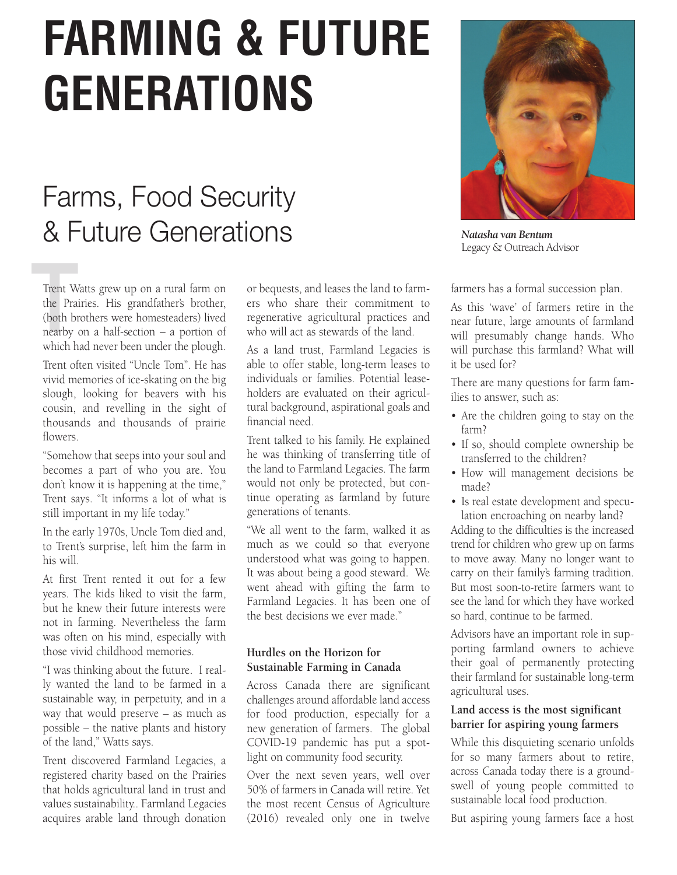# **FARMING & FUTURE GENERATIONS**

# Farms, Food Security & Future Generations

Trent W<br>the Pra<br>(both bi<br>nearby Trent Watts grew up on a rural farm on the Prairies. His grandfather's brother, (both brothers were homesteaders) lived nearby on a half-section – a portion of which had never been under the plough.

Trent often visited "Uncle Tom". He has vivid memories of ice-skating on the big slough, looking for beavers with his cousin, and revelling in the sight of thousands and thousands of prairie flowers.

"Somehow that seeps into your soul and becomes a part of who you are. You don't know it is happening at the time," Trent says. "It informs a lot of what is still important in my life today."

In the early 1970s, Uncle Tom died and, to Trent's surprise, left him the farm in his will.

At first Trent rented it out for a few years. The kids liked to visit the farm, but he knew their future interests were not in farming. Nevertheless the farm was often on his mind, especially with those vivid childhood memories.

"I was thinking about the future. I really wanted the land to be farmed in a sustainable way, in perpetuity, and in a way that would preserve – as much as possible – the native plants and history of the land," Watts says.

Trent discovered Farmland Legacies, a registered charity based on the Prairies that holds agricultural land in trust and values sustainability.. Farmland Legacies acquires arable land through donation

or bequests, and leases the land to farmers who share their commitment to regenerative agricultural practices and who will act as stewards of the land.

As a land trust, Farmland Legacies is able to offer stable, long-term leases to individuals or families. Potential leaseholders are evaluated on their agricultural background, aspirational goals and financial need.

Trent talked to his family. He explained he was thinking of transferring title of the land to Farmland Legacies. The farm would not only be protected, but continue operating as farmland by future generations of tenants.

"We all went to the farm, walked it as much as we could so that everyone understood what was going to happen. It was about being a good steward. We went ahead with gifting the farm to Farmland Legacies. It has been one of the best decisions we ever made."

## **Hurdles on the Horizon for Sustainable Farming in Canada**

Across Canada there are significant challenges around affordable land access for food production, especially for a new generation of farmers. The global COVID-19 pandemic has put a spotlight on community food security.

Over the next seven years, well over 50% of farmers in Canada will retire. Yet the most recent Census of Agriculture (2016) revealed only one in twelve



*Natasha van Bentum* Legacy & Outreach Advisor

farmers has a formal succession plan.

As this 'wave' of farmers retire in the near future, large amounts of farmland will presumably change hands. Who will purchase this farmland? What will it be used for?

There are many questions for farm families to answer, such as:

- Are the children going to stay on the farm?
- If so, should complete ownership be transferred to the children?
- How will management decisions be made?
- Is real estate development and speculation encroaching on nearby land?

Adding to the difficulties is the increased trend for children who grew up on farms to move away. Many no longer want to carry on their family's farming tradition. But most soon-to-retire farmers want to see the land for which they have worked so hard, continue to be farmed.

Advisors have an important role in supporting farmland owners to achieve their goal of permanently protecting their farmland for sustainable long-term agricultural uses.

#### **Land access is the most significant barrier for aspiring young farmers**

While this disquieting scenario unfolds for so many farmers about to retire, across Canada today there is a groundswell of young people committed to sustainable local food production.

But aspiring young farmers face a host